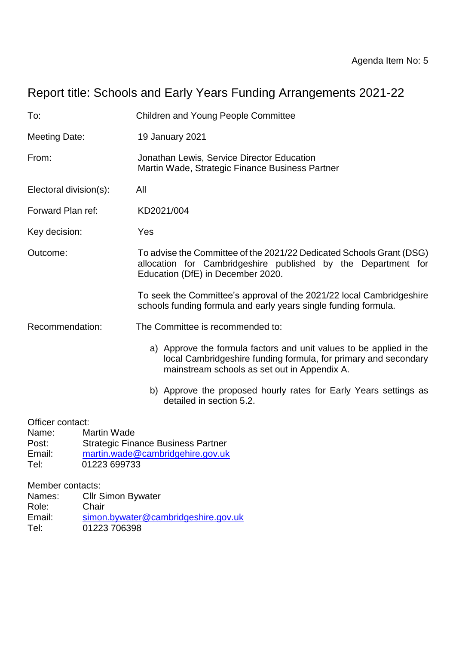# Report title: Schools and Early Years Funding Arrangements 2021-22

| To:                                                                                        | <b>Children and Young People Committee</b>                                                                                                                                             |  |  |
|--------------------------------------------------------------------------------------------|----------------------------------------------------------------------------------------------------------------------------------------------------------------------------------------|--|--|
| <b>Meeting Date:</b>                                                                       | 19 January 2021                                                                                                                                                                        |  |  |
| From:                                                                                      | Jonathan Lewis, Service Director Education<br>Martin Wade, Strategic Finance Business Partner                                                                                          |  |  |
| Electoral division(s):                                                                     | All                                                                                                                                                                                    |  |  |
| Forward Plan ref:                                                                          | KD2021/004                                                                                                                                                                             |  |  |
| Key decision:                                                                              | Yes                                                                                                                                                                                    |  |  |
| Outcome:                                                                                   | To advise the Committee of the 2021/22 Dedicated Schools Grant (DSG)<br>allocation for Cambridgeshire published by the Department for<br>Education (DfE) in December 2020.             |  |  |
|                                                                                            | To seek the Committee's approval of the 2021/22 local Cambridgeshire<br>schools funding formula and early years single funding formula.                                                |  |  |
| Recommendation:                                                                            | The Committee is recommended to:                                                                                                                                                       |  |  |
|                                                                                            | a) Approve the formula factors and unit values to be applied in the<br>local Cambridgeshire funding formula, for primary and secondary<br>mainstream schools as set out in Appendix A. |  |  |
|                                                                                            | b) Approve the proposed hourly rates for Early Years settings as<br>detailed in section 5.2.                                                                                           |  |  |
| Officer contact:<br><b>Martin Wade</b><br>Name:<br>Post:<br>Email:<br>01223 699733<br>Tel: | <b>Strategic Finance Business Partner</b><br>martin.wade@cambridgehire.gov.uk                                                                                                          |  |  |
| Member contacts:<br><b>Cllr Simon Bywater</b><br>Names:                                    |                                                                                                                                                                                        |  |  |

Role: Chair<br>Email: simon Email: [simon.bywater@cambridgeshire.gov.uk](mailto:simon.bywater@cambridgeshire.gov.uk)<br>Tel: 01223 706398 01223 706398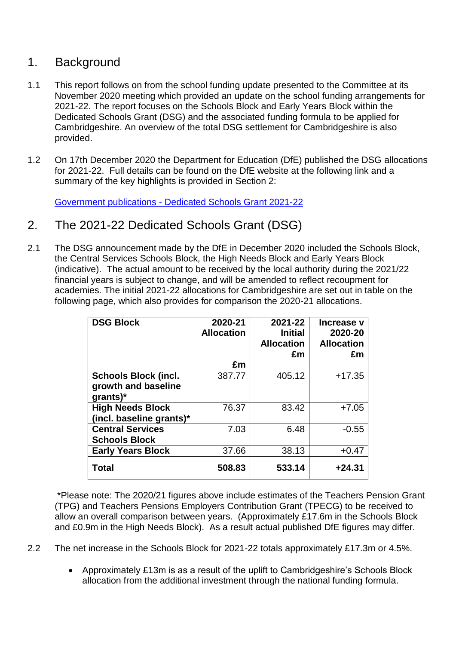### 1. Background

- 1.1 This report follows on from the school funding update presented to the Committee at its November 2020 meeting which provided an update on the school funding arrangements for 2021-22. The report focuses on the Schools Block and Early Years Block within the Dedicated Schools Grant (DSG) and the associated funding formula to be applied for Cambridgeshire. An overview of the total DSG settlement for Cambridgeshire is also provided.
- 1.2 On 17th December 2020 the Department for Education (DfE) published the DSG allocations for 2021-22. Full details can be found on the DfE website at the following link and a summary of the key highlights is provided in Section 2:

Government publications - [Dedicated Schools Grant 2021-22](https://www.gov.uk/government/publications/dedicated-schools-grant-dsg-2021-to-2022)

- 2. The 2021-22 Dedicated Schools Grant (DSG)
- 2.1 The DSG announcement made by the DfE in December 2020 included the Schools Block, the Central Services Schools Block, the High Needs Block and Early Years Block (indicative). The actual amount to be received by the local authority during the 2021/22 financial years is subject to change, and will be amended to reflect recoupment for academies. The initial 2021-22 allocations for Cambridgeshire are set out in table on the following page, which also provides for comparison the 2020-21 allocations.

| <b>DSG Block</b>                | 2020-21<br><b>Allocation</b> | 2021-22<br><b>Initial</b><br><b>Allocation</b><br>£m | Increase v<br>2020-20<br><b>Allocation</b><br>£m |
|---------------------------------|------------------------------|------------------------------------------------------|--------------------------------------------------|
|                                 | £m                           |                                                      |                                                  |
| <b>Schools Block (incl.</b>     | 387.77                       | 405.12                                               | $+17.35$                                         |
| growth and baseline<br>grants)* |                              |                                                      |                                                  |
| <b>High Needs Block</b>         | 76.37                        | 83.42                                                | $+7.05$                                          |
| (incl. baseline grants)*        |                              |                                                      |                                                  |
| <b>Central Services</b>         | 7.03                         | 6.48                                                 | $-0.55$                                          |
| <b>Schools Block</b>            |                              |                                                      |                                                  |
| <b>Early Years Block</b>        | 37.66                        | 38.13                                                | $+0.47$                                          |
| <b>Total</b>                    | 508.83                       | 533.14                                               | $+24.31$                                         |

\*Please note: The 2020/21 figures above include estimates of the Teachers Pension Grant (TPG) and Teachers Pensions Employers Contribution Grant (TPECG) to be received to allow an overall comparison between years. (Approximately £17.6m in the Schools Block and £0.9m in the High Needs Block). As a result actual published DfE figures may differ.

- 2.2 The net increase in the Schools Block for 2021-22 totals approximately £17.3m or 4.5%.
	- Approximately £13m is as a result of the uplift to Cambridgeshire's Schools Block allocation from the additional investment through the national funding formula.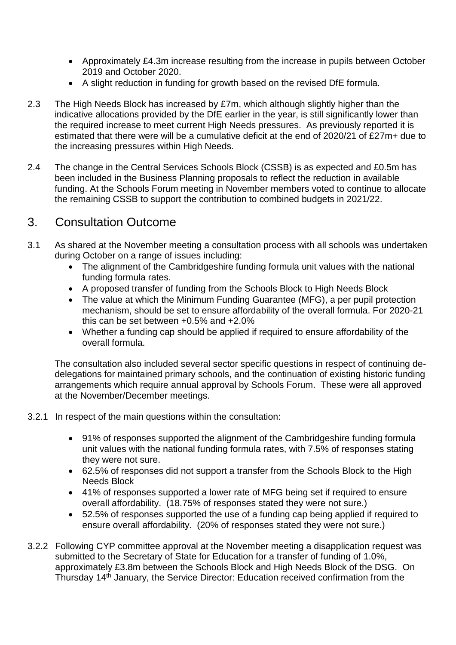- Approximately £4.3m increase resulting from the increase in pupils between October 2019 and October 2020.
- A slight reduction in funding for growth based on the revised DfE formula.
- 2.3 The High Needs Block has increased by £7m, which although slightly higher than the indicative allocations provided by the DfE earlier in the year, is still significantly lower than the required increase to meet current High Needs pressures. As previously reported it is estimated that there were will be a cumulative deficit at the end of 2020/21 of £27m+ due to the increasing pressures within High Needs.
- 2.4 The change in the Central Services Schools Block (CSSB) is as expected and £0.5m has been included in the Business Planning proposals to reflect the reduction in available funding. At the Schools Forum meeting in November members voted to continue to allocate the remaining CSSB to support the contribution to combined budgets in 2021/22.

## 3. Consultation Outcome

- 3.1 As shared at the November meeting a consultation process with all schools was undertaken during October on a range of issues including:
	- The alignment of the Cambridgeshire funding formula unit values with the national funding formula rates.
	- A proposed transfer of funding from the Schools Block to High Needs Block
	- The value at which the Minimum Funding Guarantee (MFG), a per pupil protection mechanism, should be set to ensure affordability of the overall formula. For 2020-21 this can be set between +0.5% and +2.0%
	- Whether a funding cap should be applied if required to ensure affordability of the overall formula.

The consultation also included several sector specific questions in respect of continuing dedelegations for maintained primary schools, and the continuation of existing historic funding arrangements which require annual approval by Schools Forum. These were all approved at the November/December meetings.

- 3.2.1 In respect of the main questions within the consultation:
	- 91% of responses supported the alignment of the Cambridgeshire funding formula unit values with the national funding formula rates, with 7.5% of responses stating they were not sure.
	- 62.5% of responses did not support a transfer from the Schools Block to the High Needs Block
	- 41% of responses supported a lower rate of MFG being set if required to ensure overall affordability. (18.75% of responses stated they were not sure.)
	- 52.5% of responses supported the use of a funding cap being applied if required to ensure overall affordability. (20% of responses stated they were not sure.)
- 3.2.2 Following CYP committee approval at the November meeting a disapplication request was submitted to the Secretary of State for Education for a transfer of funding of 1.0%, approximately £3.8m between the Schools Block and High Needs Block of the DSG. On Thursday 14th January, the Service Director: Education received confirmation from the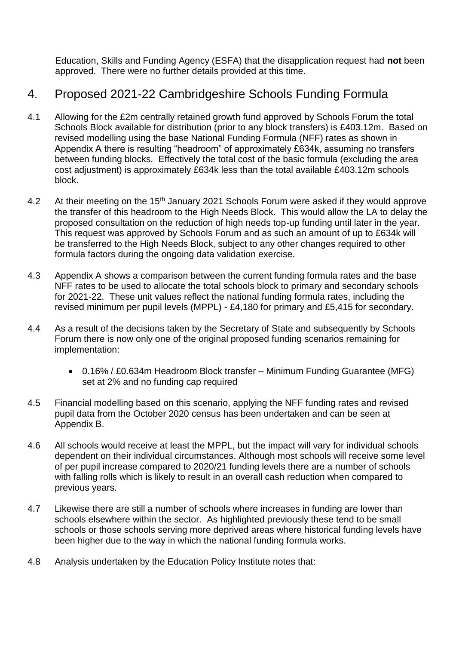Education, Skills and Funding Agency (ESFA) that the disapplication request had **not** been approved. There were no further details provided at this time.

## 4. Proposed 2021-22 Cambridgeshire Schools Funding Formula

- 4.1 Allowing for the £2m centrally retained growth fund approved by Schools Forum the total Schools Block available for distribution (prior to any block transfers) is £403.12m. Based on revised modelling using the base National Funding Formula (NFF) rates as shown in Appendix A there is resulting "headroom" of approximately £634k, assuming no transfers between funding blocks. Effectively the total cost of the basic formula (excluding the area cost adjustment) is approximately £634k less than the total available £403.12m schools block.
- 4.2 At their meeting on the 15<sup>th</sup> January 2021 Schools Forum were asked if they would approve the transfer of this headroom to the High Needs Block. This would allow the LA to delay the proposed consultation on the reduction of high needs top-up funding until later in the year. This request was approved by Schools Forum and as such an amount of up to £634k will be transferred to the High Needs Block, subject to any other changes required to other formula factors during the ongoing data validation exercise.
- 4.3 Appendix A shows a comparison between the current funding formula rates and the base NFF rates to be used to allocate the total schools block to primary and secondary schools for 2021-22. These unit values reflect the national funding formula rates, including the revised minimum per pupil levels (MPPL) - £4,180 for primary and £5,415 for secondary.
- 4.4 As a result of the decisions taken by the Secretary of State and subsequently by Schools Forum there is now only one of the original proposed funding scenarios remaining for implementation:
	- 0.16% / £0.634m Headroom Block transfer Minimum Funding Guarantee (MFG) set at 2% and no funding cap required
- 4.5 Financial modelling based on this scenario, applying the NFF funding rates and revised pupil data from the October 2020 census has been undertaken and can be seen at Appendix B.
- 4.6 All schools would receive at least the MPPL, but the impact will vary for individual schools dependent on their individual circumstances. Although most schools will receive some level of per pupil increase compared to 2020/21 funding levels there are a number of schools with falling rolls which is likely to result in an overall cash reduction when compared to previous years.
- 4.7 Likewise there are still a number of schools where increases in funding are lower than schools elsewhere within the sector. As highlighted previously these tend to be small schools or those schools serving more deprived areas where historical funding levels have been higher due to the way in which the national funding formula works.
- 4.8 Analysis undertaken by the Education Policy Institute notes that: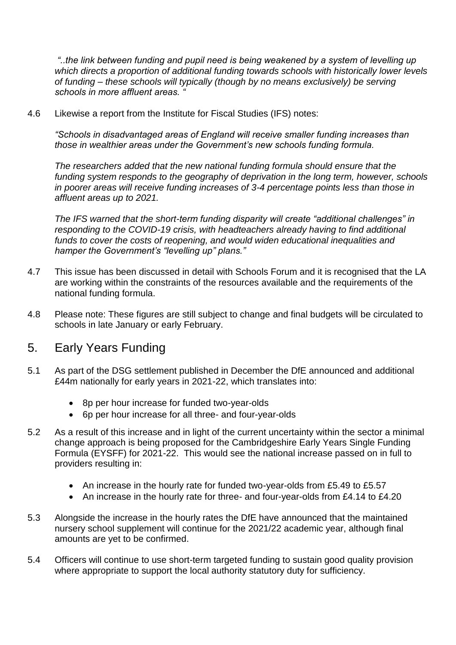*"..the link between funding and pupil need is being weakened by a system of levelling up which directs a proportion of additional funding towards schools with historically lower levels of funding – these schools will typically (though by no means exclusively) be serving schools in more affluent areas. "*

4.6 Likewise a report from the Institute for Fiscal Studies (IFS) notes:

*"Schools in disadvantaged areas of England will receive smaller funding increases than those in wealthier areas under the Government's new schools funding formula.* 

*The researchers added that the new national funding formula should ensure that the funding system responds to the geography of deprivation in the long term, however, schools in poorer areas will receive funding increases of 3-4 percentage points less than those in affluent areas up to 2021.* 

*The IFS warned that the short-term funding disparity will create "additional challenges" in responding to the COVID-19 crisis, with headteachers already having to find additional funds to cover the costs of reopening, and would widen educational inequalities and hamper the Government's "levelling up" plans."*

- 4.7 This issue has been discussed in detail with Schools Forum and it is recognised that the LA are working within the constraints of the resources available and the requirements of the national funding formula.
- 4.8 Please note: These figures are still subject to change and final budgets will be circulated to schools in late January or early February.

#### 5. Early Years Funding

- 5.1 As part of the DSG settlement published in December the DfE announced and additional £44m nationally for early years in 2021-22, which translates into:
	- 8p per hour increase for funded two-year-olds
	- 6p per hour increase for all three- and four-year-olds
- 5.2 As a result of this increase and in light of the current uncertainty within the sector a minimal change approach is being proposed for the Cambridgeshire Early Years Single Funding Formula (EYSFF) for 2021-22. This would see the national increase passed on in full to providers resulting in:
	- An increase in the hourly rate for funded two-year-olds from £5.49 to £5.57
	- An increase in the hourly rate for three- and four-year-olds from £4.14 to £4.20
- 5.3 Alongside the increase in the hourly rates the DfE have announced that the maintained nursery school supplement will continue for the 2021/22 academic year, although final amounts are yet to be confirmed.
- 5.4 Officers will continue to use short-term targeted funding to sustain good quality provision where appropriate to support the local authority statutory duty for sufficiency.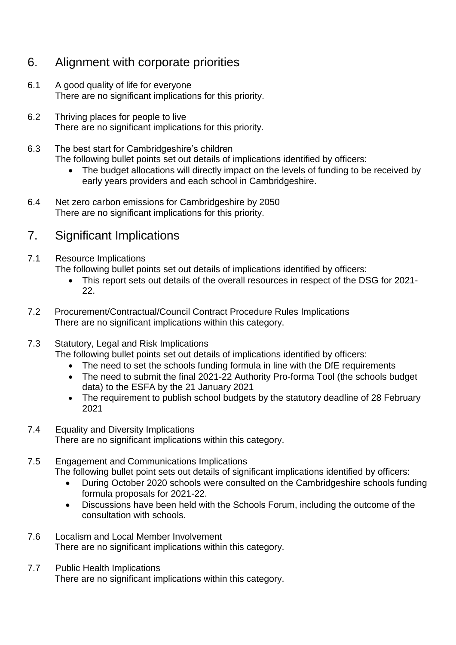## 6. Alignment with corporate priorities

- 6.1 A good quality of life for everyone There are no significant implications for this priority.
- 6.2 Thriving places for people to live There are no significant implications for this priority.
- 6.3 The best start for Cambridgeshire's children
	- The following bullet points set out details of implications identified by officers:
		- The budget allocations will directly impact on the levels of funding to be received by early years providers and each school in Cambridgeshire.
- 6.4 Net zero carbon emissions for Cambridgeshire by 2050 There are no significant implications for this priority.

# 7. Significant Implications

- 7.1 Resource Implications The following bullet points set out details of implications identified by officers:
	- This report sets out details of the overall resources in respect of the DSG for 2021- 22.
- 7.2 Procurement/Contractual/Council Contract Procedure Rules Implications There are no significant implications within this category.

#### 7.3 Statutory, Legal and Risk Implications

The following bullet points set out details of implications identified by officers:

- The need to set the schools funding formula in line with the DfE requirements
- The need to submit the final 2021-22 Authority Pro-forma Tool (the schools budget data) to the ESFA by the 21 January 2021
- The requirement to publish school budgets by the statutory deadline of 28 February 2021
- 7.4 Equality and Diversity Implications There are no significant implications within this category.
- 7.5 Engagement and Communications Implications The following bullet point sets out details of significant implications identified by officers:
	- During October 2020 schools were consulted on the Cambridgeshire schools funding formula proposals for 2021-22.
	- Discussions have been held with the Schools Forum, including the outcome of the consultation with schools.
- 7.6 Localism and Local Member Involvement There are no significant implications within this category.
- 7.7 Public Health Implications There are no significant implications within this category.